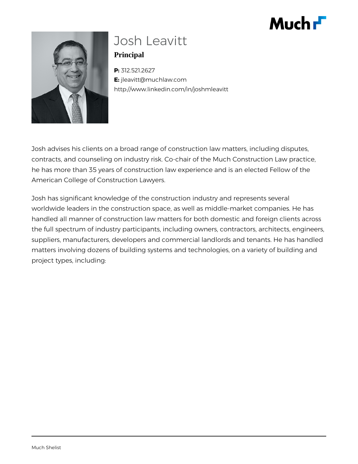# $Muchr$



# Josh Leavitt **Principal**

**P:** 312.521.2627 **E:** jleavitt@muchlaw.com http://www.linkedin.com/in/joshmleavitt

Josh advises his clients on a broad range of construction law matters, including disputes, contracts, and counseling on industry risk. Co-chair of the Much Construction Law practice, he has more than 35 years of construction law experience and is an elected Fellow of the American College of Construction Lawyers.

Josh has significant knowledge of the construction industry and represents several worldwide leaders in the construction space, as well as middle-market companies. He has handled all manner of construction law matters for both domestic and foreign clients across the full spectrum of industry participants, including owners, contractors, architects, engineers, suppliers, manufacturers, developers and commercial landlords and tenants. He has handled matters involving dozens of building systems and technologies, on a variety of building and project types, including: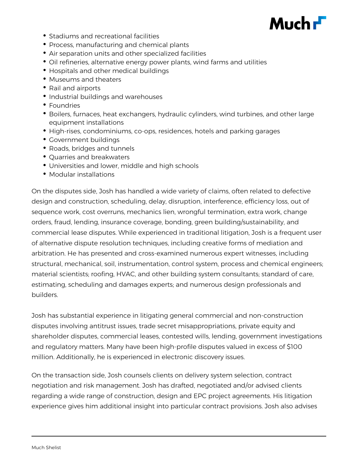

- Stadiums and recreational facilities
- Process, manufacturing and chemical plants
- Air separation units and other specialized facilities
- Oil refineries, alternative energy power plants, wind farms and utilities
- Hospitals and other medical buildings
- Museums and theaters
- Rail and airports
- Industrial buildings and warehouses
- Foundries
- Boilers, furnaces, heat exchangers, hydraulic cylinders, wind turbines, and other large equipment installations
- High-rises, condominiums, co-ops, residences, hotels and parking garages
- Government buildings
- Roads, bridges and tunnels
- Quarries and breakwaters
- Universities and lower, middle and high schools
- Modular installations

On the disputes side, Josh has handled a wide variety of claims, often related to defective design and construction, scheduling, delay, disruption, interference, efficiency loss, out of sequence work, cost overruns, mechanics lien, wrongful termination, extra work, change orders, fraud, lending, insurance coverage, bonding, green building/sustainability, and commercial lease disputes. While experienced in traditional litigation, Josh is a frequent user of alternative dispute resolution techniques, including creative forms of mediation and arbitration. He has presented and cross-examined numerous expert witnesses, including structural, mechanical, soil, instrumentation, control system, process and chemical engineers; material scientists; roofing, HVAC, and other building system consultants; standard of care, estimating, scheduling and damages experts; and numerous design professionals and builders.

Josh has substantial experience in litigating general commercial and non-construction disputes involving antitrust issues, trade secret misappropriations, private equity and shareholder disputes, commercial leases, contested wills, lending, government investigations and regulatory matters. Many have been high-profile disputes valued in excess of \$100 million. Additionally, he is experienced in electronic discovery issues.

On the transaction side, Josh counsels clients on delivery system selection, contract negotiation and risk management. Josh has drafted, negotiated and/or advised clients regarding a wide range of construction, design and EPC project agreements. His litigation experience gives him additional insight into particular contract provisions. Josh also advises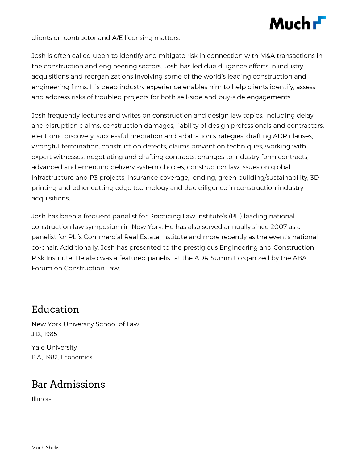

clients on contractor and A/E licensing matters.

Josh is often called upon to identify and mitigate risk in connection with M&A transactions in the construction and engineering sectors. Josh has led due diligence efforts in industry acquisitions and reorganizations involving some of the world's leading construction and engineering firms. His deep industry experience enables him to help clients identify, assess and address risks of troubled projects for both sell-side and buy-side engagements.

Josh frequently lectures and writes on construction and design law topics, including delay and disruption claims, construction damages, liability of design professionals and contractors, electronic discovery, successful mediation and arbitration strategies, drafting ADR clauses, wrongful termination, construction defects, claims prevention techniques, working with expert witnesses, negotiating and drafting contracts, changes to industry form contracts, advanced and emerging delivery system choices, construction law issues on global infrastructure and P3 projects, insurance coverage, lending, green building/sustainability, 3D printing and other cutting edge technology and due diligence in construction industry acquisitions.

Josh has been a frequent panelist for Practicing Law Institute's (PLI) leading national construction law symposium in New York. He has also served annually since 2007 as a panelist for PLI's Commercial Real Estate Institute and more recently as the event's national co-chair. Additionally, Josh has presented to the prestigious Engineering and Construction Risk Institute. He also was a featured panelist at the ADR Summit organized by the ABA Forum on Construction Law.

#### Education

New York University School of Law J.D., 1985

Yale University B.A., 1982, Economics

## Bar Admissions

Illinois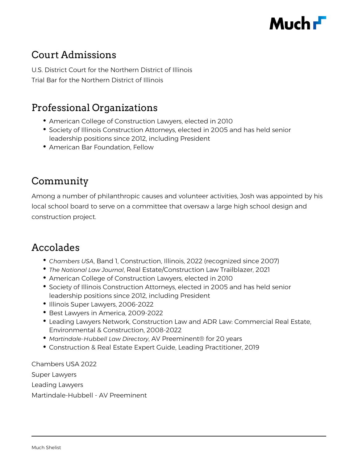

#### Court Admissions

U.S. District Court for the Northern District of Illinois Trial Bar for the Northern District of Illinois

#### Professional Organizations

- American College of Construction Lawyers, elected in 2010
- **Society of Illinois Construction Attorneys, elected in 2005 and has held senior** leadership positions since 2012, including President
- American Bar Foundation, Fellow

#### Community

Among a number of philanthropic causes and volunteer activities, Josh was appointed by his local school board to serve on a committee that oversaw a large high school design and construction project.

#### Accolades

- *Chambers USA*, Band 1, Construction, Illinois, 2022 (recognized since 2007)
- *The National Law Journal*, Real Estate/Construction Law Trailblazer, 2021
- American College of Construction Lawyers, elected in 2010
- Society of Illinois Construction Attorneys, elected in 2005 and has held senior leadership positions since 2012, including President
- Illinois Super Lawyers, 2006-2022
- Best Lawyers in America, 2009-2022
- Leading Lawyers Network, Construction Law and ADR Law: Commercial Real Estate, Environmental & Construction, 2008-2022
- *Martindale-Hubbell Law Directory*, AV Preeminent® for 20 years
- Construction & Real Estate Expert Guide, Leading Practitioner, 2019

Chambers USA 2022 Super Lawyers Leading Lawyers Martindale-Hubbell - AV Preeminent